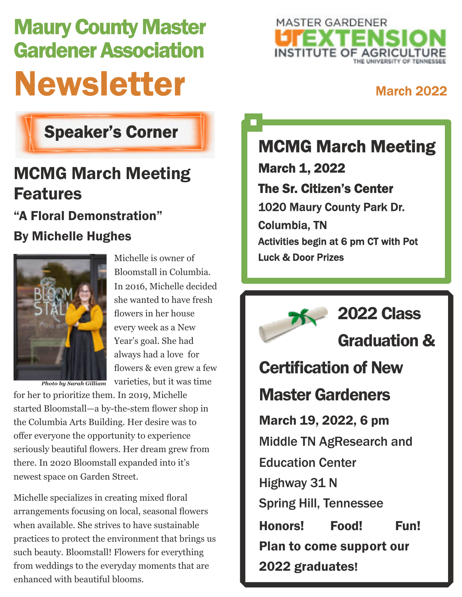# Maury County Master Gardener Association Newsletter March 2022



### Speaker's Corner

## MCMG March Meeting Features "A Floral Demonstration"

### By Michelle Hughes



Michelle is owner of Bloomstall in Columbia. In 2016, Michelle decided she wanted to have fresh flowers in her house every week as a New Year's goal. She had always had a love for flowers & even grew a few varieties, but it was time

*Photo by Sarah Gilliam*

for her to prioritize them. In 2019, Michelle started Bloomstall—a by-the-stem flower shop in the Columbia Arts Building. Her desire was to offer everyone the opportunity to experience seriously beautiful flowers. Her dream grew from there. In 2020 Bloomstall expanded into it's newest space on Garden Street.

Michelle specializes in creating mixed floral arrangements focusing on local, seasonal flowers when available. She strives to have sustainable practices to protect the environment that brings us such beauty. Bloomstall! Flowers for everything from weddings to the everyday moments that are enhanced with beautiful blooms.

MCMG March Meeting March 1, 2022 The Sr. Citizen's Center 1020 Maury County Park Dr. Columbia, TN Activities begin at 6 pm CT with Pot Luck & Door Prizes

2022 Class Graduation & Certification of New Master Gardeners March 19, 2022, 6 pm Middle TN AgResearch and Education Center Highway 31 N Spring Hill, Tennessee Honors! Food! Fun! Plan to come support our 2022 graduates!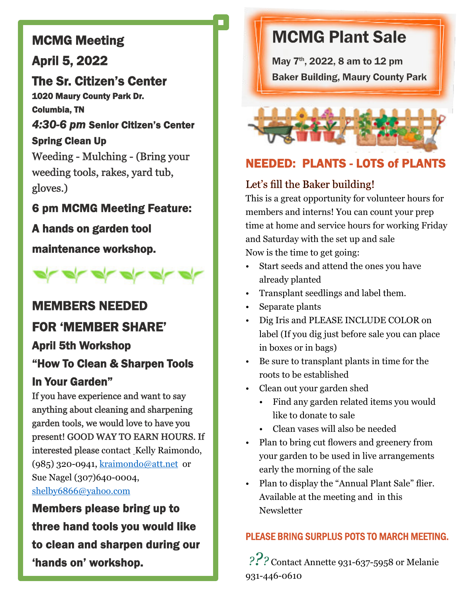### MCMG Meeting

### April 5, 2022

### The Sr. Citizen's Center

1020 Maury County Park Dr. Columbia, TN

*4:30-6 pm* Senior Citizen's Center Spring Clean Up Weeding - Mulching - (Bring your weeding tools, rakes, yard tub, gloves.)

- 6 pm MCMG Meeting Feature:
- A hands on garden tool

maintenance workshop.



### MEMBERS NEEDED

### FOR 'MEMBER SHARE'

### April 5th Workshop

### "How To Clean & Sharpen Tools In Your Garden"

If you have experience and want to say anything about cleaning and sharpening garden tools, we would love to have you present! GOOD WAY TO EARN HOURS. If interested please contact\_Kelly Raimondo, (985) 320-0941, [kraimondo@att.net](mailto:kraimondo@att.net) or Sue Nagel (307)640-0004, [shelby6866@yahoo.com](mailto:shelby6866@yahoo.com)

Members please bring up to three hand tools you would like to clean and sharpen during our 'hands on' workshop.

### MCMG Plant Sale

May 7th, 2022, 8 am to 12 pm Baker Building, Maury County Park

### NEEDED: PLANTS - LOTS of PLANTS

### Let's fill the Baker building!

This is a great opportunity for volunteer hours for members and interns! You can count your prep time at home and service hours for working Friday and Saturday with the set up and sale

Now is the time to get going:

- Start seeds and attend the ones you have already planted
- Transplant seedlings and label them.
- Separate plants
- Dig Iris and PLEASE INCLUDE COLOR on label (If you dig just before sale you can place in boxes or in bags)
- Be sure to transplant plants in time for the roots to be established
- Clean out your garden shed
	- Find any garden related items you would like to donate to sale
	- Clean vases will also be needed
- Plan to bring cut flowers and greenery from your garden to be used in live arrangements early the morning of the sale
- Plan to display the "Annual Plant Sale" flier. Available at the meeting and in this **Newsletter**

### PLEASE BRING SURPLUS POTS TO MARCH MEETING.

*???* Contact Annette 931-637-5958 or Melanie 931-446-0610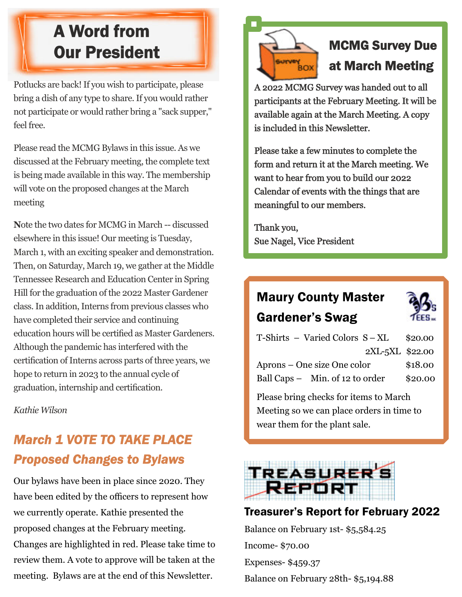### A Word from Our President

Potlucks are back! If you wish to participate, please bring a dish of any type to share. If you would rather not participate or would rather bring a "sack supper," feel free.

Please read the MCMG Bylaws in this issue. As we discussed at the February meeting, the complete text is being made available in this way. The membership will vote on the proposed changes at the March meeting

**N**ote the two dates for MCMG in March -- discussed elsewhere in this issue! Our meeting is Tuesday, March 1, with an exciting speaker and demonstration. Then, on Saturday, March 19, we gather at the Middle Tennessee Research and Education Center in Spring Hill for the graduation of the 2022 Master Gardener class. In addition, Interns from previous classes who have completed their service and continuing education hours will be certified as Master Gardeners. Although the pandemic has interfered with the certification of Interns across parts of three years, we hope to return in 2023 to the annual cycle of graduation, internship and certification.

*Kathie Wilson*

### *March 1 VOTE TO TAKE PLACE Proposed Changes to Bylaws*

Our bylaws have been in place since 2020. They have been edited by the officers to represent how we currently operate. Kathie presented the proposed changes at the February meeting. Changes are highlighted in red. Please take time to review them. A vote to approve will be taken at the meeting. Bylaws are at the end of this Newsletter.



### MCMG Survey Due at March Meeting

A 2022 MCMG Survey was handed out to all participants at the February Meeting. It will be available again at the March Meeting. A copy is included in this Newsletter.

Please take a few minutes to complete the form and return it at the March meeting. We want to hear from you to build our 2022 Calendar of events with the things that are meaningful to our members.

Thank you, Sue Nagel, Vice President

### Maury County Master Gardener's Swag



| $T\text{-Shirts} - \text{Varied Colors } S - XL$ | \$20.00 |
|--------------------------------------------------|---------|
| 2XL-5XL \$22.00                                  |         |
| Aprons – One size One color                      | \$18.00 |
| Ball Caps - Min. of 12 to order                  | \$20.00 |
|                                                  |         |

Please bring checks for items to March Meeting so we can place orders in time to wear them for the plant sale.



### Treasurer's Report for February 2022

Balance on February 1st- \$5,584.25 Income- \$70.00 Expenses- \$459.37 Balance on February 28th- \$5,194.88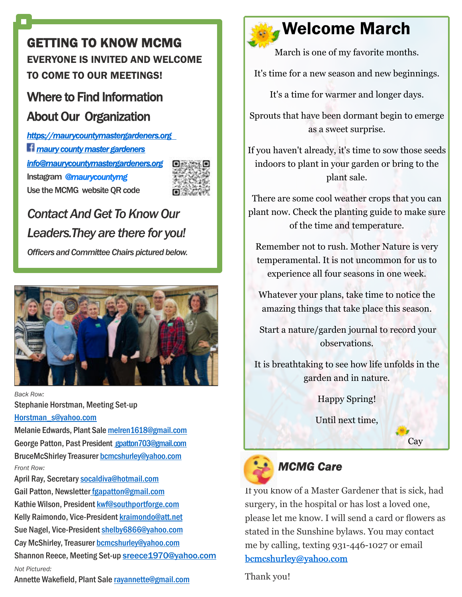### GETTING TO KNOW MCMG EVERYONE IS INVITED AND WELCOME TO COME TO OUR MEETINGS!

### [Where to Find Information](https://maurycountymastergardeners.org) [About Our Organization](https://maurycountymastergardeners.org)

*<https://maurycountymastergardeners.org> [maury countymaster gardeners](https://www.facebook.com/groups/927159377367221/) [info@maurycountymastergardeners.org](mailto:info@maurycountymastergardeners.org)* Instagram *@maurycountymg* Use the MCMG website QR code



### *Contact And Get To Know Our Leaders.They are there for you!*

*Officers and Committee Chairs pictured below.*



*Back Row:* Stephanie Horstman, Meeting Set-up [Horstman\\_s@yahoo.com](mailto:Horstman_s@yahoo.com)

Melanie Edwards, Plant Sale [melren1618@gmail.com](mailto:melren1618@gmail.com) George Patton, Past President [gpatton703@gmail.com](mailto:%20gpatton703@gmail.com) BruceMcShirley Treasurer [bcmcshurley@yahoo.com](mailto:bcmcshurley@yahoo.com) *Front Row:*

April Ray, Secretary[socaldiva@hotmail.com](mailto:socaldiva@hotmail.com) Gail Patton, Newsletter [fgapatton@gmail.com](mailto:fgapatton@gmail.com) Kathie Wilson, President [kwf@southportforge.com](mailto:kwf@southportforge.com) Kelly Raimondo, Vice-President [kraimondo@att.net](mailto:kraimondo@att.net) Sue Nagel, Vice-President [shelby6866@yahoo.com](mailto:shelby6866@yahoo.com) Cay McShirley, Treasurer [bcmcshurley@yahoo.com](mailto:bcmcshurley@yahoo.com) Shannon Reece, Meeting Set-up [sreece1970@yahoo.com](mailto:sreece1970@yahoo.com) *Not Pictured:*

Annette Wakefield, Plant Sale [rayannette@gmail.com](mailto:rayannette@gmail.com)



### Welcome March

March is one of my favorite months.

It's time for a new season and new beginnings.

It's a time for warmer and longer days.

Sprouts that have been dormant begin to emerge as a sweet surprise.

If you haven't already, it's time to sow those seeds indoors to plant in your garden or bring to the plant sale.

There are some cool weather crops that you can plant now. Check the planting guide to make sure of the time and temperature.

Remember not to rush. Mother Nature is very temperamental. It is not uncommon for us to experience all four seasons in one week.

Whatever your plans, take time to notice the amazing things that take place this season.

Start a nature/garden journal to record your observations.

It is breathtaking to see how life unfolds in the garden and in nature.

Happy Spring!

Until next time,

**Cay** 



### *MCMG Care*

If you know of a Master Gardener that is sick, had surgery, in the hospital or has lost a loved one, please let me know. I will send a card or flowers as stated in the Sunshine bylaws. You may contact me by calling, texting 931-446-1027 or email [bcmcshurley@yahoo.com](mailto:bcmcshurley@yahoo.com.%20)

Thank you!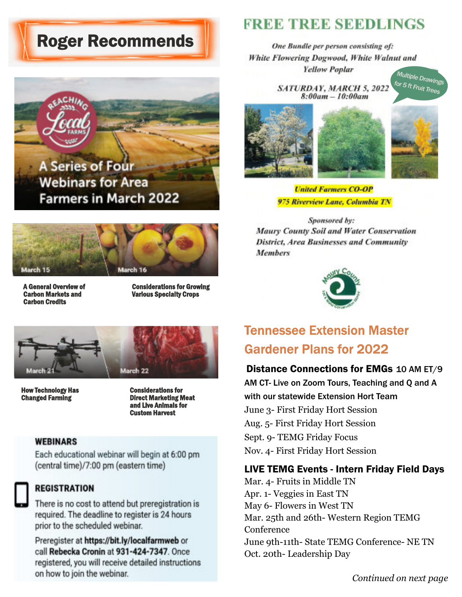### Roger Recommends





Carbon Credits

A General Overview of Considerations for Growing<br>
Carbon Markets and Carbon Various Specialty Crops **Various Specialty Crops** 



**How Technology Has Considerations for Service Service Service Service Service Service Service Service Service**<br>Changed Farming

**Direct Marketing Meat** and Live Animals for Custom Harvest

#### **WEBINARS**

Each educational webinar will begin at 6:00 pm (central time)/7:00 pm (eastern time)



#### **REGISTRATION**

There is no cost to attend but preregistration is required. The deadline to register is 24 hours prior to the scheduled webinar.

Preregister at https://bit.ly/localfarmweb or call Rebecka Cronin at 931-424-7347. Once registered, you will receive detailed instructions on how to join the webinar.

### **EREE TREE SEEDLINGS**

One Bundle per person consisting of: White Flowering Dogwood, White Walnut and **Yellow Poplar** Multiple Drawing

SATURDAY, MARCH 5, 2022  $8:00am - 10:00am$ 

for 5 ft Fruit Trees



**United Farmers CO-OP** 975 Riverview Lane, Columbia TN

Sponsored by: Maury County Soil and Water Conservation **District, Area Businesses and Community Members** 



### Tennessee Extension Master Gardener Plans for 2022

Distance Connections for EMGs 10 AM ET/9 AM CT- Live on Zoom Tours, Teaching and Q and A with our statewide Extension Hort Team June 3- First Friday Hort Session Aug. 5- First Friday Hort Session Sept. 9- TEMG Friday Focus Nov. 4- First Friday Hort Session

#### LIVE TEMG Events - Intern Friday Field Days

Mar. 4- Fruits in Middle TN Apr. 1- Veggies in East TN May 6- Flowers in West TN Mar. 25th and 26th- Western Region TEMG Conference June 9th-11th- State TEMG Conference- NE TN Oct. 20th- Leadership Day

*Continued on next page*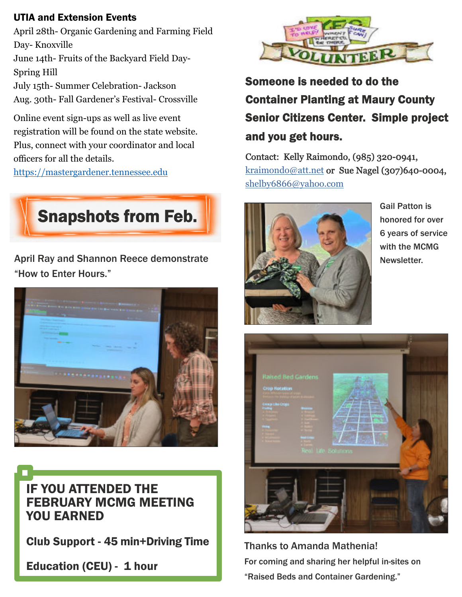### UTIA and Extension Events

April 28th- Organic Gardening and Farming Field Day- Knoxville June 14th- Fruits of the Backyard Field Day-

Spring Hill July 15th- Summer Celebration- Jackson

Aug. 30th- Fall Gardener's Festival- Crossville

Online event sign-ups as well as live event registration will be found on the state website. Plus, connect with your coordinator and local officers for all the details.

<https://mastergardener.tennessee.edu>



April Ray and Shannon Reece demonstrate "How to Enter Hours."



IF YOU ATTENDED THE FEBRUARY MCMG MEETING YOU EARNED

Club Support - 45 min+Driving Time

Education (CEU) - 1 hour



Someone is needed to do the Container Planting at Maury County Senior Citizens Center. Simple project and you get hours.

Contact: Kelly Raimondo, (985) 320-0941, [kraimondo@att.net](mailto:kraimondo@att.net) or Sue Nagel (307)640-0004, [shelby6866@yahoo.com](mailto:shelby6866@yahoo.com)



honored for over 6 years of service with the MCMG Newsletter.



Thanks to Amanda Mathenia! For coming and sharing her helpful in-sites on "Raised Beds and Container Gardening."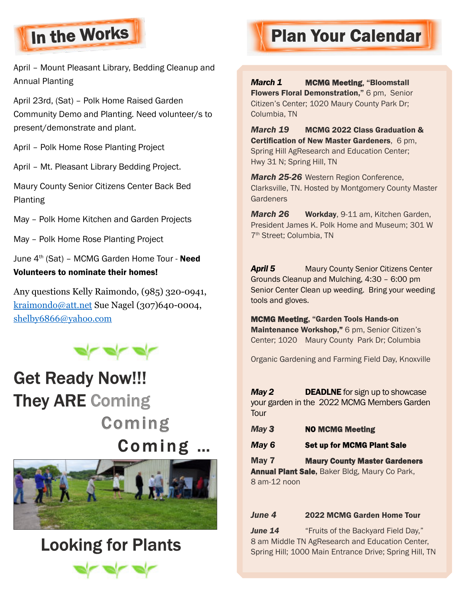

April – Mount Pleasant Library, Bedding Cleanup and Annual Planting

April 23rd, (Sat) – Polk Home Raised Garden Community Demo and Planting. Need volunteer/s to present/demonstrate and plant.

April – Polk Home Rose Planting Project

April – Mt. Pleasant Library Bedding Project.

Maury County Senior Citizens Center Back Bed Planting

May – Polk Home Kitchen and Garden Projects

May – Polk Home Rose Planting Project

June  $4<sup>th</sup>$  (Sat) – MCMG Garden Home Tour - **Need** Volunteers to nominate their homes!

Any questions Kelly Raimondo, (985) 320-0941, [kraimondo@att.net](mailto:kraimondo@att.net) Sue Nagel (307)640-0004, [shelby6866@yahoo.com](mailto:shelby6866@yahoo.com)



### Get Ready Now!!! They ARE Coming Coming Coming ...



### Looking for Plants



# In the Works **Plan Your Calendar**

*March 1* MCMG Meeting, "Bloomstall

Flowers Floral Demonstration," 6 pm, Senior Citizen's Center; 1020 Maury County Park Dr; Columbia, TN

*March 19* MCMG 2022 Class Graduation & Certification of New Master Gardeners, 6 pm, Spring Hill AgResearch and Education Center; Hwy 31 N; Spring Hill, TN

*March 25-26* Western Region Conference, Clarksville, TN. Hosted by Montgomery County Master **Gardeners** 

*March 26* Workday, 9-11 am, Kitchen Garden, President James K. Polk Home and Museum; 301 W 7 th Street; Columbia, TN

**April 5** Maury County Senior Citizens Center Grounds Cleanup and Mulching, 4:30 – 6:00 pm Senior Center Clean up weeding. Bring your weeding tools and gloves.

MCMG Meeting, "Garden Tools Hands-on Maintenance Workshop," 6 pm, Senior Citizen's Center; 1020 Maury County Park Dr; Columbia

Organic Gardening and Farming Field Day, Knoxville

**May 2** DEADLNE for sign up to showcase your garden in the 2022 MCMG Members Garden **Tour** 

- *May 3* NO MCMG Meeting
- **May 6** Set up for MCMG Plant Sale

May 7 Maury County Master Gardeners Annual Plant Sale, Baker Bldg, Maury Co Park, 8 am-12 noon

#### *June 4* 2022 MCMG Garden Home Tour

**June 14** "Fruits of the Backyard Field Day," 8 am Middle TN AgResearch and Education Center, Spring Hill; 1000 Main Entrance Drive; Spring Hill, TN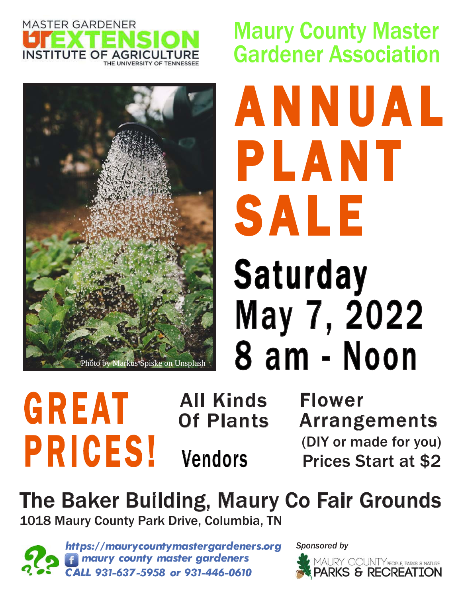



Maury County Master Gardener Association

Saturday May 7, 2022 8 am - Noon A N N U A L P L A N T **SALE** 

# **GREAT** PRICES!

All Kinds Of Plants

Flower Arrangements (DIY or made for you) Vendors Prices Start at \$2

The Baker Building, Maury Co Fair Grounds 1018 Maury County Park Drive, Columbia, TN

 *https://maurycountymastergardeners.org maury county master gardeners CALL 931-637-5958 or 931-446-0610*

*Sponsored by*

![](_page_7_Picture_10.jpeg)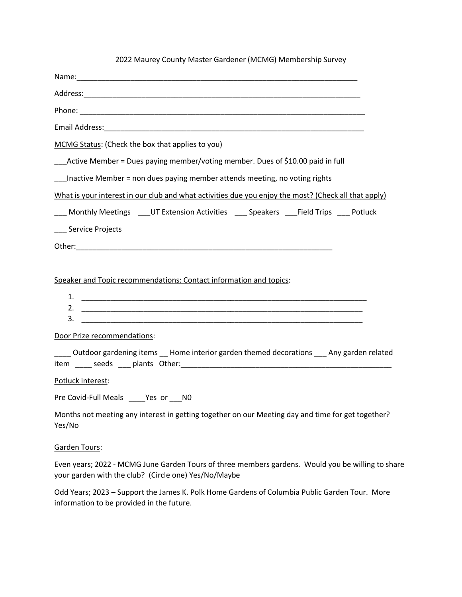| 2022 Maurey County Master Gardener (MCMG) Membership Survey                                                 |
|-------------------------------------------------------------------------------------------------------------|
|                                                                                                             |
|                                                                                                             |
|                                                                                                             |
|                                                                                                             |
| MCMG Status: (Check the box that applies to you)                                                            |
| _Active Member = Dues paying member/voting member. Dues of \$10.00 paid in full                             |
| Inactive Member = non dues paying member attends meeting, no voting rights                                  |
| What is your interest in our club and what activities due you enjoy the most? (Check all that apply)        |
| ___ Monthly Meetings ____UT Extension Activities ____ Speakers ____Field Trips ____ Potluck                 |
| ___ Service Projects                                                                                        |
|                                                                                                             |
|                                                                                                             |
| Speaker and Topic recommendations: Contact information and topics:                                          |
|                                                                                                             |
| 2.<br>3.                                                                                                    |
| Door Prize recommendations:                                                                                 |
| Outdoor gardening items __ Home interior garden themed decorations ___ Any garden related                   |
| Potluck interest:                                                                                           |
| Pre Covid-Full Meals Yes or NO                                                                              |
| Months not meeting any interest in getting together on our Meeting day and time for get together?<br>Yes/No |
| Garden Tours:                                                                                               |

Even years; 2022 - MCMG June Garden Tours of three members gardens. Would you be willing to share your garden with the club? (Circle one) Yes/No/Maybe

Odd Years; 2023 – Support the James K. Polk Home Gardens of Columbia Public Garden Tour. More information to be provided in the future.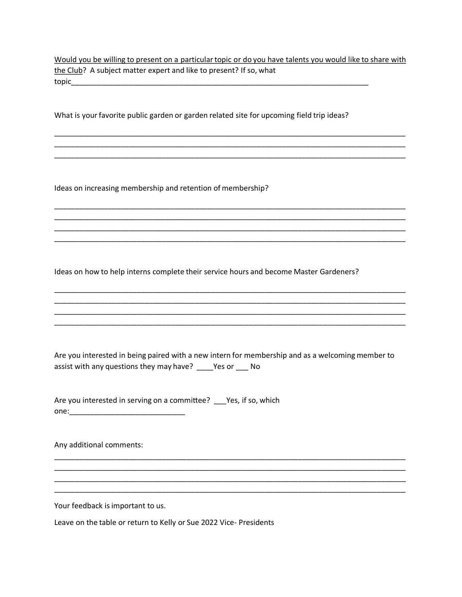Would you be willing to present on a particular topic or do you have talents you would like to share with the Club? A subject matter expert and like to present? If so, what topic\_\_\_\_\_\_\_\_\_\_\_\_\_\_\_\_\_\_\_\_\_\_\_\_\_\_\_\_\_\_\_\_\_\_\_\_\_\_\_\_\_\_\_\_\_\_\_\_\_\_\_\_\_\_\_\_\_\_\_\_\_\_\_\_\_\_\_\_\_\_\_\_

\_\_\_\_\_\_\_\_\_\_\_\_\_\_\_\_\_\_\_\_\_\_\_\_\_\_\_\_\_\_\_\_\_\_\_\_\_\_\_\_\_\_\_\_\_\_\_\_\_\_\_\_\_\_\_\_\_\_\_\_\_\_\_\_\_\_\_\_\_\_\_\_\_\_\_\_\_\_\_\_\_\_\_\_\_ \_\_\_\_\_\_\_\_\_\_\_\_\_\_\_\_\_\_\_\_\_\_\_\_\_\_\_\_\_\_\_\_\_\_\_\_\_\_\_\_\_\_\_\_\_\_\_\_\_\_\_\_\_\_\_\_\_\_\_\_\_\_\_\_\_\_\_\_\_\_\_\_\_\_\_\_\_\_\_\_\_\_\_\_\_ \_\_\_\_\_\_\_\_\_\_\_\_\_\_\_\_\_\_\_\_\_\_\_\_\_\_\_\_\_\_\_\_\_\_\_\_\_\_\_\_\_\_\_\_\_\_\_\_\_\_\_\_\_\_\_\_\_\_\_\_\_\_\_\_\_\_\_\_\_\_\_\_\_\_\_\_\_\_\_\_\_\_\_\_\_

\_\_\_\_\_\_\_\_\_\_\_\_\_\_\_\_\_\_\_\_\_\_\_\_\_\_\_\_\_\_\_\_\_\_\_\_\_\_\_\_\_\_\_\_\_\_\_\_\_\_\_\_\_\_\_\_\_\_\_\_\_\_\_\_\_\_\_\_\_\_\_\_\_\_\_\_\_\_\_\_\_\_\_\_\_ \_\_\_\_\_\_\_\_\_\_\_\_\_\_\_\_\_\_\_\_\_\_\_\_\_\_\_\_\_\_\_\_\_\_\_\_\_\_\_\_\_\_\_\_\_\_\_\_\_\_\_\_\_\_\_\_\_\_\_\_\_\_\_\_\_\_\_\_\_\_\_\_\_\_\_\_\_\_\_\_\_\_\_\_\_ \_\_\_\_\_\_\_\_\_\_\_\_\_\_\_\_\_\_\_\_\_\_\_\_\_\_\_\_\_\_\_\_\_\_\_\_\_\_\_\_\_\_\_\_\_\_\_\_\_\_\_\_\_\_\_\_\_\_\_\_\_\_\_\_\_\_\_\_\_\_\_\_\_\_\_\_\_\_\_\_\_\_\_\_\_ \_\_\_\_\_\_\_\_\_\_\_\_\_\_\_\_\_\_\_\_\_\_\_\_\_\_\_\_\_\_\_\_\_\_\_\_\_\_\_\_\_\_\_\_\_\_\_\_\_\_\_\_\_\_\_\_\_\_\_\_\_\_\_\_\_\_\_\_\_\_\_\_\_\_\_\_\_\_\_\_\_\_\_\_\_

\_\_\_\_\_\_\_\_\_\_\_\_\_\_\_\_\_\_\_\_\_\_\_\_\_\_\_\_\_\_\_\_\_\_\_\_\_\_\_\_\_\_\_\_\_\_\_\_\_\_\_\_\_\_\_\_\_\_\_\_\_\_\_\_\_\_\_\_\_\_\_\_\_\_\_\_\_\_\_\_\_\_\_\_\_ \_\_\_\_\_\_\_\_\_\_\_\_\_\_\_\_\_\_\_\_\_\_\_\_\_\_\_\_\_\_\_\_\_\_\_\_\_\_\_\_\_\_\_\_\_\_\_\_\_\_\_\_\_\_\_\_\_\_\_\_\_\_\_\_\_\_\_\_\_\_\_\_\_\_\_\_\_\_\_\_\_\_\_\_\_ \_\_\_\_\_\_\_\_\_\_\_\_\_\_\_\_\_\_\_\_\_\_\_\_\_\_\_\_\_\_\_\_\_\_\_\_\_\_\_\_\_\_\_\_\_\_\_\_\_\_\_\_\_\_\_\_\_\_\_\_\_\_\_\_\_\_\_\_\_\_\_\_\_\_\_\_\_\_\_\_\_\_\_\_\_ \_\_\_\_\_\_\_\_\_\_\_\_\_\_\_\_\_\_\_\_\_\_\_\_\_\_\_\_\_\_\_\_\_\_\_\_\_\_\_\_\_\_\_\_\_\_\_\_\_\_\_\_\_\_\_\_\_\_\_\_\_\_\_\_\_\_\_\_\_\_\_\_\_\_\_\_\_\_\_\_\_\_\_\_\_

What is your favorite public garden or garden related site for upcoming field trip ideas?

Ideas on increasing membership and retention of membership?

Ideas on how to help interns complete their service hours and become Master Gardeners?

Are you interested in being paired with a new intern for membership and as a welcoming member to assist with any questions they may have? \_\_\_\_Yes or \_\_\_ No

\_\_\_\_\_\_\_\_\_\_\_\_\_\_\_\_\_\_\_\_\_\_\_\_\_\_\_\_\_\_\_\_\_\_\_\_\_\_\_\_\_\_\_\_\_\_\_\_\_\_\_\_\_\_\_\_\_\_\_\_\_\_\_\_\_\_\_\_\_\_\_\_\_\_\_\_\_\_\_\_\_\_\_\_\_ \_\_\_\_\_\_\_\_\_\_\_\_\_\_\_\_\_\_\_\_\_\_\_\_\_\_\_\_\_\_\_\_\_\_\_\_\_\_\_\_\_\_\_\_\_\_\_\_\_\_\_\_\_\_\_\_\_\_\_\_\_\_\_\_\_\_\_\_\_\_\_\_\_\_\_\_\_\_\_\_\_\_\_\_\_ \_\_\_\_\_\_\_\_\_\_\_\_\_\_\_\_\_\_\_\_\_\_\_\_\_\_\_\_\_\_\_\_\_\_\_\_\_\_\_\_\_\_\_\_\_\_\_\_\_\_\_\_\_\_\_\_\_\_\_\_\_\_\_\_\_\_\_\_\_\_\_\_\_\_\_\_\_\_\_\_\_\_\_\_\_ \_\_\_\_\_\_\_\_\_\_\_\_\_\_\_\_\_\_\_\_\_\_\_\_\_\_\_\_\_\_\_\_\_\_\_\_\_\_\_\_\_\_\_\_\_\_\_\_\_\_\_\_\_\_\_\_\_\_\_\_\_\_\_\_\_\_\_\_\_\_\_\_\_\_\_\_\_\_\_\_\_\_\_\_\_

Are you interested in serving on a committee? \_\_\_Yes, if so, which  $one:$ 

Any additional comments:

Your feedback is important to us.

Leave on the table or return to Kelly or Sue 2022 Vice- Presidents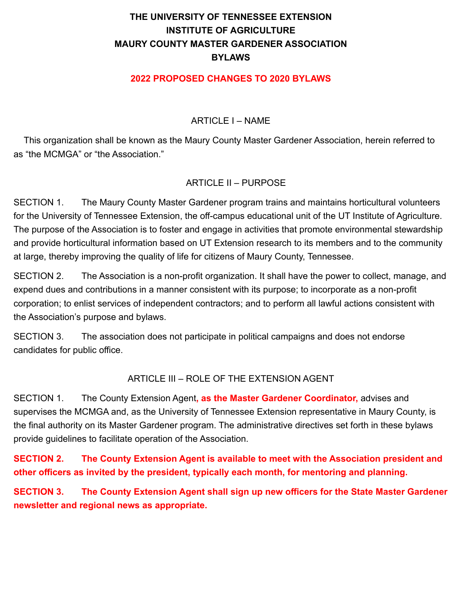### **THE UNIVERSITY OF TENNESSEE EXTENSION INSTITUTE OF AGRICULTURE MAURY COUNTY MASTER GARDENER ASSOCIATION BYLAWS**

#### **2022 PROPOSED CHANGES TO 2020 BYLAWS**

#### ARTICLE I – NAME

This organization shall be known as the Maury County Master Gardener Association, herein referred to as "the MCMGA" or "the Association."

#### ARTICLE II – PURPOSE

SECTION 1. The Maury County Master Gardener program trains and maintains horticultural volunteers for the University of Tennessee Extension, the off-campus educational unit of the UT Institute of Agriculture. The purpose of the Association is to foster and engage in activities that promote environmental stewardship and provide horticultural information based on UT Extension research to its members and to the community at large, thereby improving the quality of life for citizens of Maury County, Tennessee.

SECTION 2. The Association is a non-profit organization. It shall have the power to collect, manage, and expend dues and contributions in a manner consistent with its purpose; to incorporate as a non-profit corporation; to enlist services of independent contractors; and to perform all lawful actions consistent with the Association's purpose and bylaws.

SECTION 3. The association does not participate in political campaigns and does not endorse candidates for public office.

#### ARTICLE III – ROLE OF THE EXTENSION AGENT

SECTION 1. The County Extension Agent**, as the Master Gardener Coordinator,** advises and supervises the MCMGA and, as the University of Tennessee Extension representative in Maury County, is the final authority on its Master Gardener program. The administrative directives set forth in these bylaws provide guidelines to facilitate operation of the Association.

**SECTION 2. The County Extension Agent is available to meet with the Association president and other officers as invited by the president, typically each month, for mentoring and planning.**

**SECTION 3. The County Extension Agent shall sign up new officers for the State Master Gardener newsletter and regional news as appropriate.**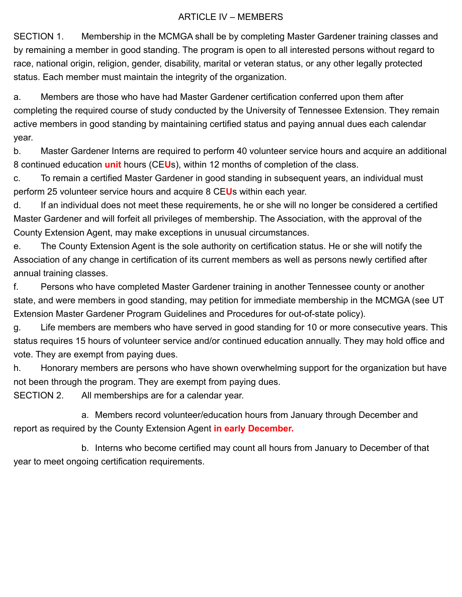#### ARTICLE IV – MEMBERS

SECTION 1. Membership in the MCMGA shall be by completing Master Gardener training classes and by remaining a member in good standing. The program is open to all interested persons without regard to race, national origin, religion, gender, disability, marital or veteran status, or any other legally protected status. Each member must maintain the integrity of the organization.

a. Members are those who have had Master Gardener certification conferred upon them after completing the required course of study conducted by the University of Tennessee Extension. They remain active members in good standing by maintaining certified status and paying annual dues each calendar year.

b. Master Gardener Interns are required to perform 40 volunteer service hours and acquire an additional 8 continued education **unit** hours (CE**U**s), within 12 months of completion of the class.

c. To remain a certified Master Gardener in good standing in subsequent years, an individual must perform 25 volunteer service hours and acquire 8 CE**U**s within each year.

d. If an individual does not meet these requirements, he or she will no longer be considered a certified Master Gardener and will forfeit all privileges of membership. The Association, with the approval of the County Extension Agent, may make exceptions in unusual circumstances.

e. The County Extension Agent is the sole authority on certification status. He or she will notify the Association of any change in certification of its current members as well as persons newly certified after annual training classes.

f. Persons who have completed Master Gardener training in another Tennessee county or another state, and were members in good standing, may petition for immediate membership in the MCMGA (see UT Extension Master Gardener Program Guidelines and Procedures for out-of-state policy).

g. Life members are members who have served in good standing for 10 or more consecutive years. This status requires 15 hours of volunteer service and/or continued education annually. They may hold office and vote. They are exempt from paying dues.

h. Honorary members are persons who have shown overwhelming support for the organization but have not been through the program. They are exempt from paying dues.

SECTION 2. All memberships are for a calendar year.

a. Members record volunteer/education hours from January through December and report as required by the County Extension Agent **in early December.**

b. Interns who become certified may count all hours from January to December of that year to meet ongoing certification requirements.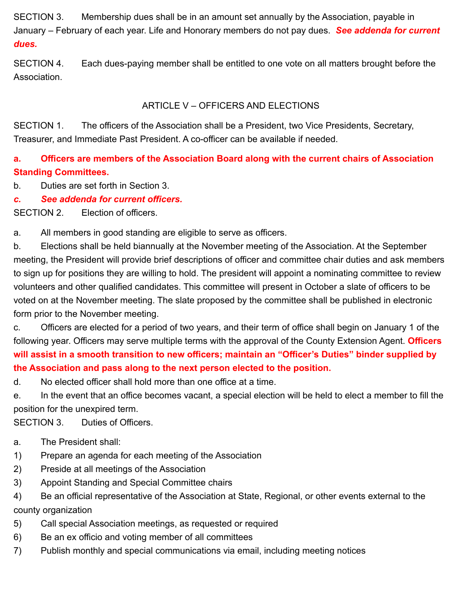SECTION 3. Membership dues shall be in an amount set annually by the Association, payable in January – February of each year. Life and Honorary members do not pay dues. *See addenda for current dues.*

SECTION 4. Each dues-paying member shall be entitled to one vote on all matters brought before the Association.

#### ARTICLE V – OFFICERS AND ELECTIONS

SECTION 1. The officers of the Association shall be a President, two Vice Presidents, Secretary, Treasurer, and Immediate Past President. A co-officer can be available if needed.

### **a. Officers are members of the Association Board along with the current chairs of Association Standing Committees.**

b. Duties are set forth in Section 3.

*c. See addenda for current officers.*

SECTION 2. Election of officers.

a. All members in good standing are eligible to serve as officers.

b. Elections shall be held biannually at the November meeting of the Association. At the September meeting, the President will provide brief descriptions of officer and committee chair duties and ask members to sign up for positions they are willing to hold. The president will appoint a nominating committee to review volunteers and other qualified candidates. This committee will present in October a slate of officers to be voted on at the November meeting. The slate proposed by the committee shall be published in electronic form prior to the November meeting.

c. Officers are elected for a period of two years, and their term of office shall begin on January 1 of the following year. Officers may serve multiple terms with the approval of the County Extension Agent. **Officers will assist in a smooth transition to new officers; maintain an "Officer's Duties" binder supplied by the Association and pass along to the next person elected to the position.**

d. No elected officer shall hold more than one office at a time.

e. In the event that an office becomes vacant, a special election will be held to elect a member to fill the position for the unexpired term.

SECTION 3. Duties of Officers.

- a. The President shall:
- 1) Prepare an agenda for each meeting of the Association
- 2) Preside at all meetings of the Association
- 3) Appoint Standing and Special Committee chairs
- 4) Be an official representative of the Association at State, Regional, or other events external to the county organization
- 5) Call special Association meetings, as requested or required
- 6) Be an ex officio and voting member of all committees
- 7) Publish monthly and special communications via email, including meeting notices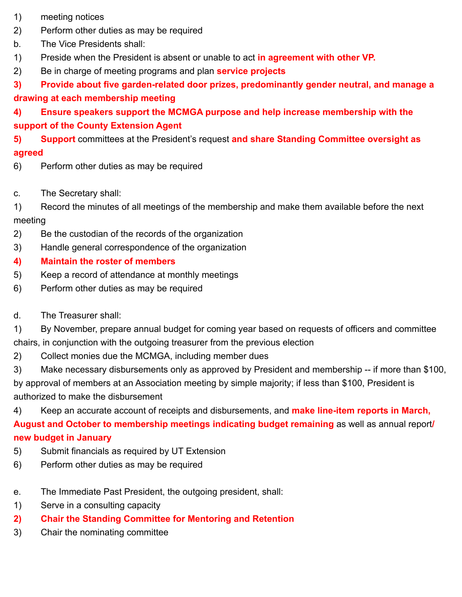- 1) meeting notices
- 2) Perform other duties as may be required
- b. The Vice Presidents shall:
- 1) Preside when the President is absent or unable to act **in agreement with other VP.**
- 2) Be in charge of meeting programs and plan **service projects**

### **3) Provide about five garden-related door prizes, predominantly gender neutral, and manage a drawing at each membership meeting**

### **4) Ensure speakers support the MCMGA purpose and help increase membership with the support of the County Extension Agent**

### **5) Support** committees at the President's request **and share Standing Committee oversight as agreed**

- 6) Perform other duties as may be required
- c. The Secretary shall:
- 1) Record the minutes of all meetings of the membership and make them available before the next meeting
- 2) Be the custodian of the records of the organization
- 3) Handle general correspondence of the organization
- **4) Maintain the roster of members**
- 5) Keep a record of attendance at monthly meetings
- 6) Perform other duties as may be required
- d. The Treasurer shall:
- 1) By November, prepare annual budget for coming year based on requests of officers and committee chairs, in conjunction with the outgoing treasurer from the previous election
- 2) Collect monies due the MCMGA, including member dues
- 3) Make necessary disbursements only as approved by President and membership -- if more than \$100, by approval of members at an Association meeting by simple majority; if less than \$100, President is authorized to make the disbursement
- 4) Keep an accurate account of receipts and disbursements, and **make line-item reports in March,**

**August and October to membership meetings indicating budget remaining** as well as annual report**/ new budget in January**

- 5) Submit financials as required by UT Extension
- 6) Perform other duties as may be required
- e. The Immediate Past President, the outgoing president, shall:
- 1) Serve in a consulting capacity
- **2) Chair the Standing Committee for Mentoring and Retention**
- 3) Chair the nominating committee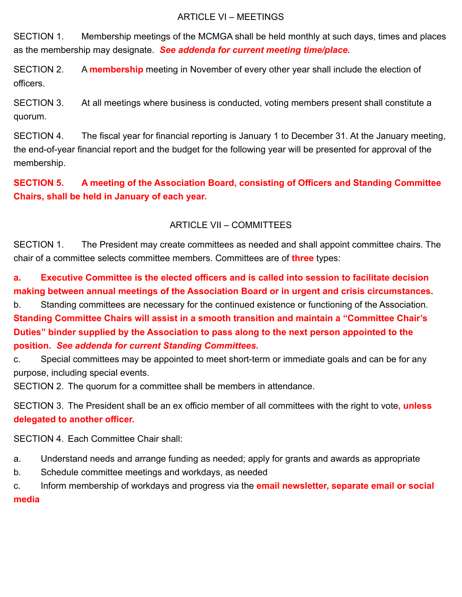#### ARTICLE VI – MEETINGS

SECTION 1. Membership meetings of the MCMGA shall be held monthly at such days, times and places as the membership may designate. *See addenda for current meeting time/place.*

SECTION 2. A **membership** meeting in November of every other year shall include the election of officers.

SECTION 3. At all meetings where business is conducted, voting members present shall constitute a quorum.

SECTION 4. The fiscal year for financial reporting is January 1 to December 31. At the January meeting, the end-of-year financial report and the budget for the following year will be presented for approval of the membership.

**SECTION 5. A meeting of the Association Board, consisting of Officers and Standing Committee Chairs, shall be held in January of each year.**

#### ARTICLE VII – COMMITTEES

SECTION 1. The President may create committees as needed and shall appoint committee chairs. The chair of a committee selects committee members. Committees are of **three** types:

**a. Executive Committee is the elected officers and is called into session to facilitate decision making between annual meetings of the Association Board or in urgent and crisis circumstances.**

b. Standing committees are necessary for the continued existence or functioning of the Association. **Standing Committee Chairs will assist in a smooth transition and maintain a "Committee Chair's Duties" binder supplied by the Association to pass along to the next person appointed to the position.** *See addenda for current Standing Committees.*

c. Special committees may be appointed to meet short-term or immediate goals and can be for any purpose, including special events.

SECTION 2. The quorum for a committee shall be members in attendance.

SECTION 3. The President shall be an ex officio member of all committees with the right to vote**, unless delegated to another officer.**

SECTION 4. Each Committee Chair shall:

- a. Understand needs and arrange funding as needed; apply for grants and awards as appropriate
- b. Schedule committee meetings and workdays, as needed

c. Inform membership of workdays and progress via the **email newsletter, separate email or social media**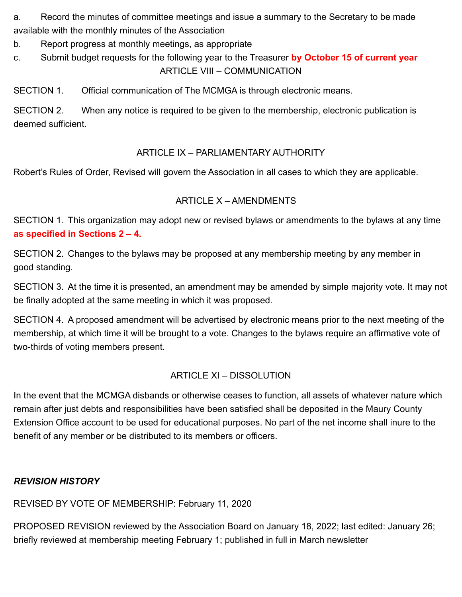a. Record the minutes of committee meetings and issue a summary to the Secretary to be made available with the monthly minutes of the Association

b. Report progress at monthly meetings, as appropriate

c. Submit budget requests for the following year to the Treasurer **by October 15 of current year** ARTICLE VIII – COMMUNICATION

SECTION 1. Official communication of The MCMGA is through electronic means.

SECTION 2. When any notice is required to be given to the membership, electronic publication is deemed sufficient.

### ARTICLE IX – PARLIAMENTARY AUTHORITY

Robert's Rules of Order, Revised will govern the Association in all cases to which they are applicable.

### ARTICLE X – AMENDMENTS

SECTION 1. This organization may adopt new or revised bylaws or amendments to the bylaws at any time **as specified in Sections 2 – 4.**

SECTION 2. Changes to the bylaws may be proposed at any membership meeting by any member in good standing.

SECTION 3. At the time it is presented, an amendment may be amended by simple majority vote. It may not be finally adopted at the same meeting in which it was proposed.

SECTION 4. A proposed amendment will be advertised by electronic means prior to the next meeting of the membership, at which time it will be brought to a vote. Changes to the bylaws require an affirmative vote of two-thirds of voting members present.

#### ARTICLE XI – DISSOLUTION

In the event that the MCMGA disbands or otherwise ceases to function, all assets of whatever nature which remain after just debts and responsibilities have been satisfied shall be deposited in the Maury County Extension Office account to be used for educational purposes. No part of the net income shall inure to the benefit of any member or be distributed to its members or officers.

#### *REVISION HISTORY*

REVISED BY VOTE OF MEMBERSHIP: February 11, 2020

PROPOSED REVISION reviewed by the Association Board on January 18, 2022; last edited: January 26; briefly reviewed at membership meeting February 1; published in full in March newsletter